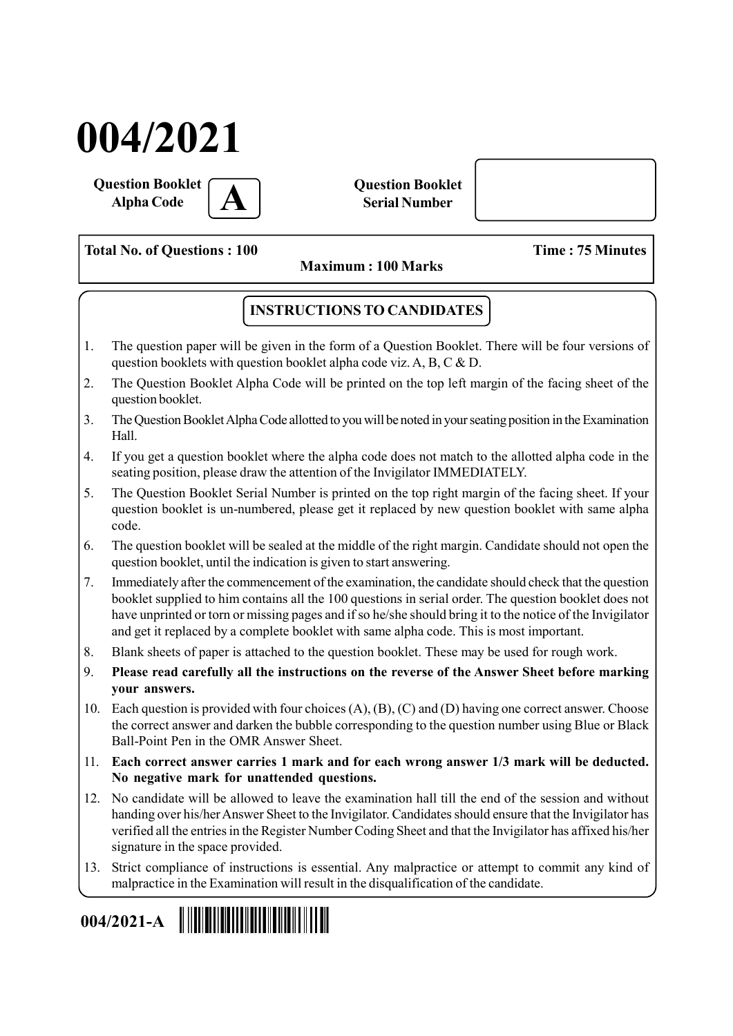# 004/2021

Question Booklet **Alpha Code** 



Question Booklet Serial Number

## Total No. of Ouestions : 100 Time : 75 Minutes

Maximum : 100 Marks

# INSTRUCTIONS TO CANDIDATES

- 1. The question paper will be given in the form of a Question Booklet. There will be four versions of question booklets with question booklet alpha code viz. A, B, C & D.
- 2. The Question Booklet Alpha Code will be printed on the top left margin of the facing sheet of the question booklet.
- 3. The Question Booklet Alpha Code allotted to you will be noted in your seating position in the Examination Hall.
- 4. If you get a question booklet where the alpha code does not match to the allotted alpha code in the seating position, please draw the attention of the Invigilator IMMEDIATELY.
- 5. The Question Booklet Serial Number is printed on the top right margin of the facing sheet. If your question booklet is un-numbered, please get it replaced by new question booklet with same alpha code.
- 6. The question booklet will be sealed at the middle of the right margin. Candidate should not open the question booklet, until the indication is given to start answering.
- 7. Immediately after the commencement of the examination, the candidate should check that the question booklet supplied to him contains all the 100 questions in serial order. The question booklet does not have unprinted or torn or missing pages and if so he/she should bring it to the notice of the Invigilator and get it replaced by a complete booklet with same alpha code. This is most important.
- 8. Blank sheets of paper is attached to the question booklet. These may be used for rough work.
- 9. Please read carefully all the instructions on the reverse of the Answer Sheet before marking your answers.
- 10. Each question is provided with four choices (A), (B), (C) and (D) having one correct answer. Choose the correct answer and darken the bubble corresponding to the question number using Blue or Black Ball-Point Pen in the OMR Answer Sheet.
- 11. Each correct answer carries 1 mark and for each wrong answer 1/3 mark will be deducted. No negative mark for unattended questions.
- 12. No candidate will be allowed to leave the examination hall till the end of the session and without handing over his/her Answer Sheet to the Invigilator. Candidates should ensure that the Invigilator has verified all the entries in the Register Number Coding Sheet and that the Invigilator has affixed his/her signature in the space provided.
- 13. Strict compliance of instructions is essential. Any malpractice or attempt to commit any kind of malpractice in the Examination will result in the disqualification of the candidate.

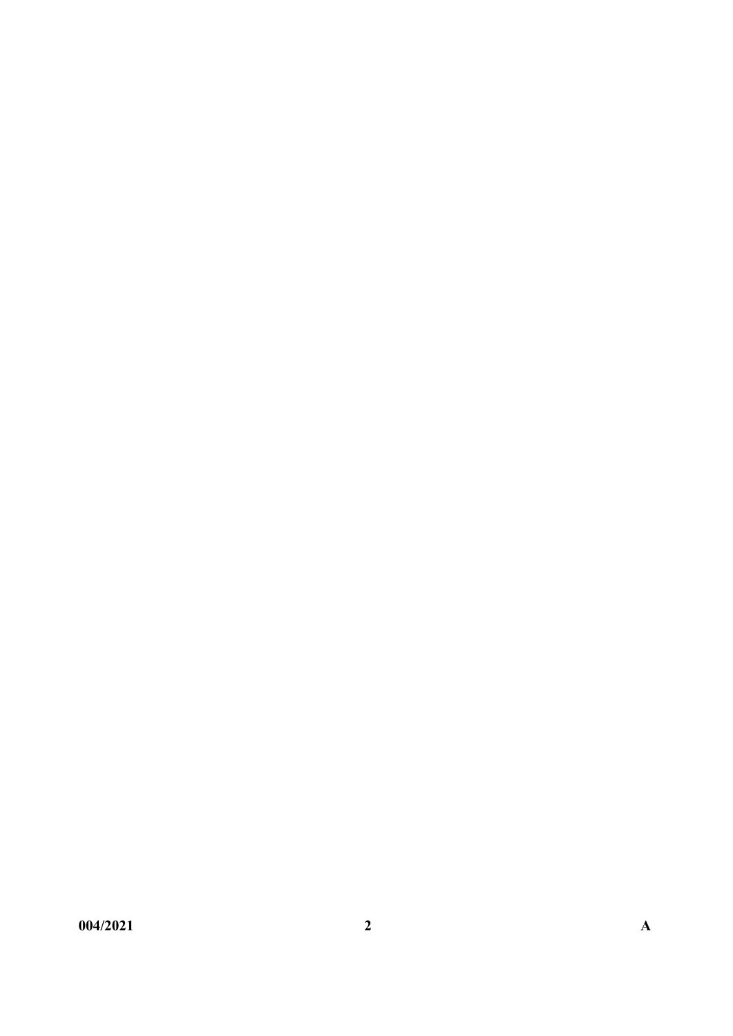$004/2021$  and  $2$  and  $4/2021$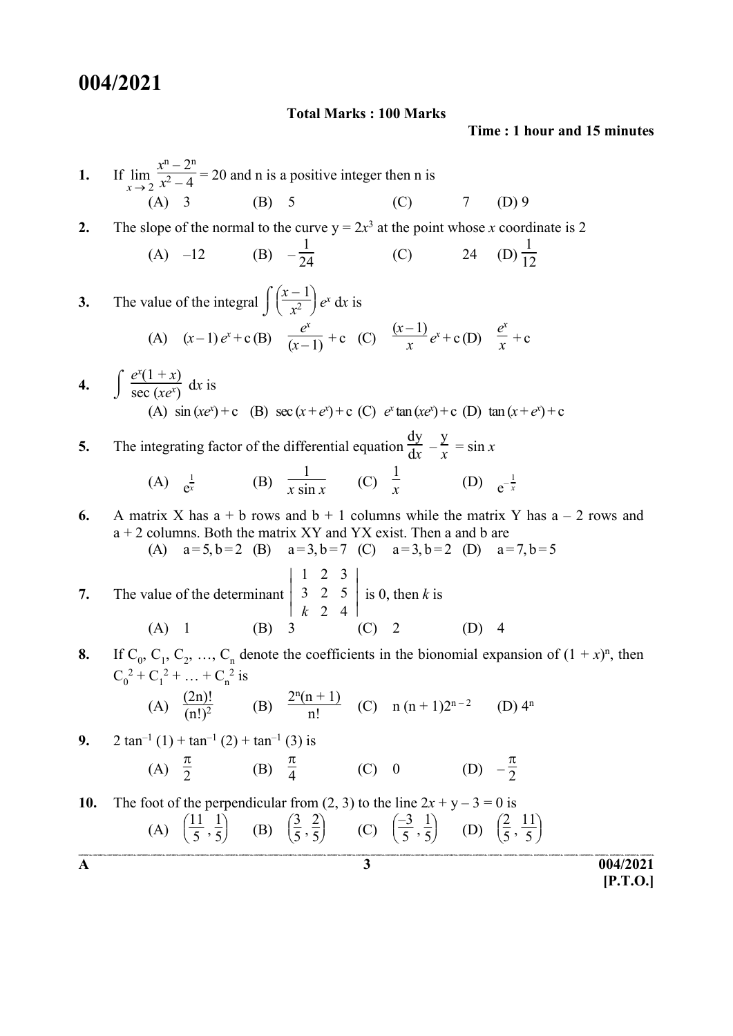## 004/2021

#### Total Marks : 100 Marks

#### Time : 1 hour and 15 minutes

1. If lim  $x \rightarrow 2$  $x^n - 2^n$  $\frac{x^2-2}{x^2-4}$  = 20 and n is a positive integer then n is (A) 3 (B) 5 (C) 7 (D) 9

2. The slope of the normal to the curve  $y = 2x^3$  at the point whose x coordinate is 2

(A) -12 (B) 
$$
-\frac{1}{24}
$$
 (C) 24 (D)  $\frac{1}{12}$ 

3. The value of the integral 
$$
\int \left(\frac{x-1}{x^2}\right) e^x dx
$$
 is  
\n(A)  $(x-1)e^x + c$  (B)  $\frac{e^x}{(x-1)} + c$  (C)  $\frac{(x-1)}{x}e^x + c$  (D)  $\frac{e^x}{x} + c$ 

4.  $\int$  $e^{x}(1 + x)$  $\frac{\partial (x - x)}{\partial} dx$  is (A)  $\sin (xe^{x}) + c$  (B)  $\sec (x + e^{x}) + c$  (C)  $e^{x} \tan (xe^{x}) + c$  (D)  $\tan (x + e^{x}) + c$ 

5. The integrating factor of the differential equation  $\frac{dy}{dx}$  – y  $\frac{y}{x} = \sin x$ 

(A) 
$$
e^{\frac{1}{x}}
$$
 (B)  $\frac{1}{x \sin x}$  (C)  $\frac{1}{x}$  (D)  $e^{-\frac{1}{x}}$ 

6. A matrix X has  $a + b$  rows and  $b + 1$  columns while the matrix Y has  $a - 2$  rows and  $a + 2$  columns. Both the matrix XY and YX exist. Then a and b are (A)  $a=5, b=2$  (B)  $a=3, b=7$  (C)  $a=3, b=2$  (D)  $a=7, b=5$ 

- 7. The value of the determinant  $\mathbb{L}$  $\mathbf{r}$  $\mathbf{I}$  $\mathbf{r}$  $\mathbf{L}$  $\mathbf{I}$  $\mathbf{I}$  $1 \t2 \t3$  $3 \quad 2 \quad 5$  $k \quad 2 \quad 4$ is 0, then  $k$  is (A) 1 (B) 3 (C) 2 (D) 4
- 8. If  $C_0$ ,  $C_1$ ,  $C_2$ , ...,  $C_n$  denote the coefficients in the bionomial expansion of  $(1 + x)^n$ , then  $C_0^2 + C_1^2 + ... + C_n^2$  is

(A) 
$$
\frac{(2n)!}{(n!)^2}
$$
 (B)  $\frac{2^n(n+1)}{n!}$  (C)  $n(n+1)2^{n-2}$  (D)  $4^n$ 

9. 2 tan<sup>-1</sup> (1) + tan<sup>-1</sup> (2) + tan<sup>-1</sup> (3) is

(A) 
$$
\frac{\pi}{2}
$$
 (B)  $\frac{\pi}{4}$  (C) 0 (D)  $-\frac{\pi}{2}$ 

A  $3$  004/2021 10. The foot of the perpendicular from (2, 3) to the line  $2x + y - 3 = 0$  is  $(A)$   $\left(\begin{matrix} \cdot & \cdot & \cdot \\ \cdot & \cdot & \cdot \\ \cdot & \cdot & \cdot \end{matrix}\right)$  $\left(\frac{11}{5}, \frac{1}{5}\right)$  $\frac{1}{5}$ , 1  $\begin{pmatrix} 1 \\ 5 \end{pmatrix}$  (B)  $\begin{pmatrix} 1 \\ 1 \end{pmatrix}$  $\left(\frac{3}{5}, \frac{2}{5}\right)$  $\frac{2}{5}$ , 2  $\left(\frac{2}{5}\right)$  (C)  $\left(\frac{2}{5}\right)$  $\left(\frac{-3}{5}, \frac{1}{5}\right)$  $\frac{3}{5}$ , 1  $\frac{1}{5}$  (D)  $\left(\frac{1}{5}\right)$  $\left(\frac{2}{5}, \frac{11}{5}\right)$  $\frac{2}{5}$ , 11 5

 $[P.T.O.]$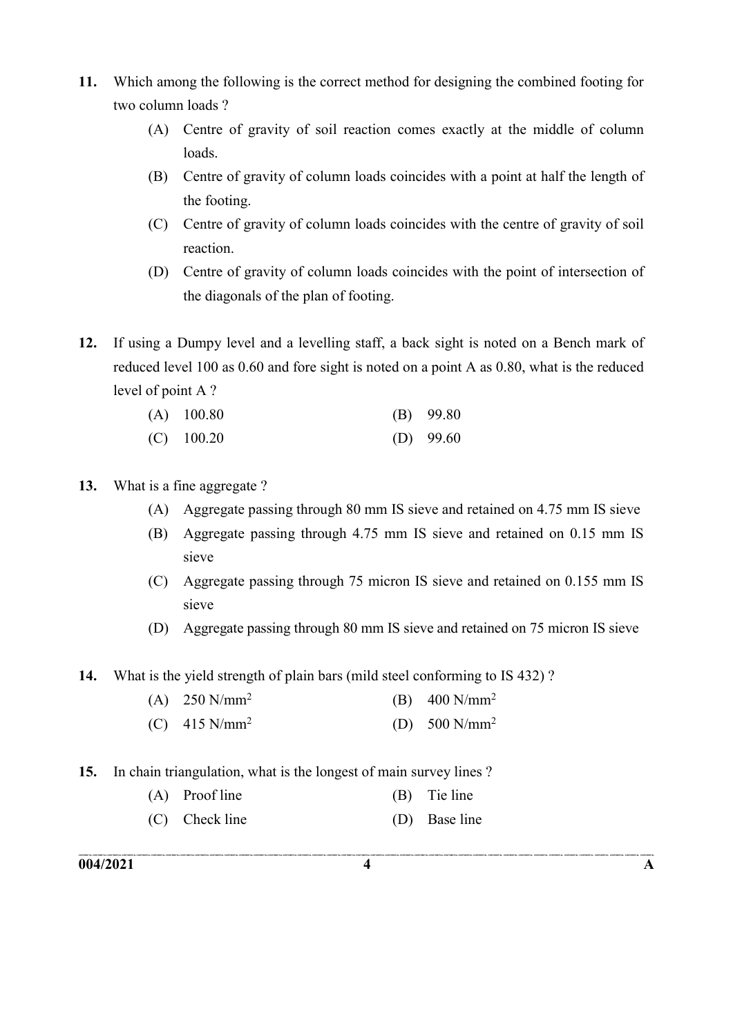- 11. Which among the following is the correct method for designing the combined footing for two column loads ?
	- (A) Centre of gravity of soil reaction comes exactly at the middle of column loads.
	- (B) Centre of gravity of column loads coincides with a point at half the length of the footing.
	- (C) Centre of gravity of column loads coincides with the centre of gravity of soil reaction.
	- (D) Centre of gravity of column loads coincides with the point of intersection of the diagonals of the plan of footing.
- 12. If using a Dumpy level and a levelling staff, a back sight is noted on a Bench mark of reduced level 100 as 0.60 and fore sight is noted on a point A as 0.80, what is the reduced level of point A ?

| $(A)$ 100.80 | $(B)$ 99.80 |
|--------------|-------------|
| $(C)$ 100.20 | $(D)$ 99.60 |

- 13. What is a fine aggregate ?
	- (A) Aggregate passing through 80 mm IS sieve and retained on 4.75 mm IS sieve
	- (B) Aggregate passing through 4.75 mm IS sieve and retained on 0.15 mm IS sieve
	- (C) Aggregate passing through 75 micron IS sieve and retained on 0.155 mm IS sieve
	- (D) Aggregate passing through 80 mm IS sieve and retained on 75 micron IS sieve
- 14. What is the yield strength of plain bars (mild steel conforming to IS 432) ?
	- $(A)$  250 N/mm<sup>2</sup> (B) 400 N/mm<sup>2</sup>  $(C)$  415 N/mm<sup>2</sup> (D) 500 N/mm<sup>2</sup>
- 15. In chain triangulation, what is the longest of main survey lines ?
	- (A) Proof line (B) Tie line
	- (C) Check line (D) Base line

 $004/2021$  A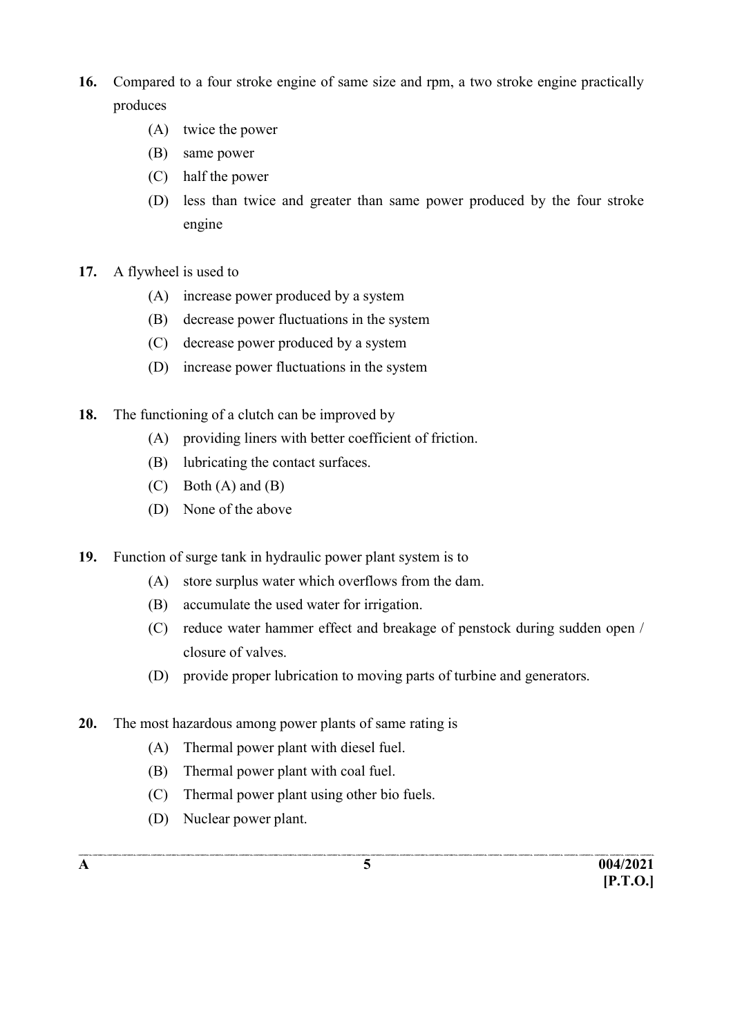- 16. Compared to a four stroke engine of same size and rpm, a two stroke engine practically produces
	- (A) twice the power
	- (B) same power
	- (C) half the power
	- (D) less than twice and greater than same power produced by the four stroke engine
- 17. A flywheel is used to
	- (A) increase power produced by a system
	- (B) decrease power fluctuations in the system
	- (C) decrease power produced by a system
	- (D) increase power fluctuations in the system
- 18. The functioning of a clutch can be improved by
	- (A) providing liners with better coefficient of friction.
	- (B) lubricating the contact surfaces.
	- (C) Both (A) and (B)
	- (D) None of the above
- 19. Function of surge tank in hydraulic power plant system is to
	- (A) store surplus water which overflows from the dam.
	- (B) accumulate the used water for irrigation.
	- (C) reduce water hammer effect and breakage of penstock during sudden open / closure of valves.
	- (D) provide proper lubrication to moving parts of turbine and generators.
- 20. The most hazardous among power plants of same rating is
	- (A) Thermal power plant with diesel fuel.
	- (B) Thermal power plant with coal fuel.
	- (C) Thermal power plant using other bio fuels.
	- (D) Nuclear power plant.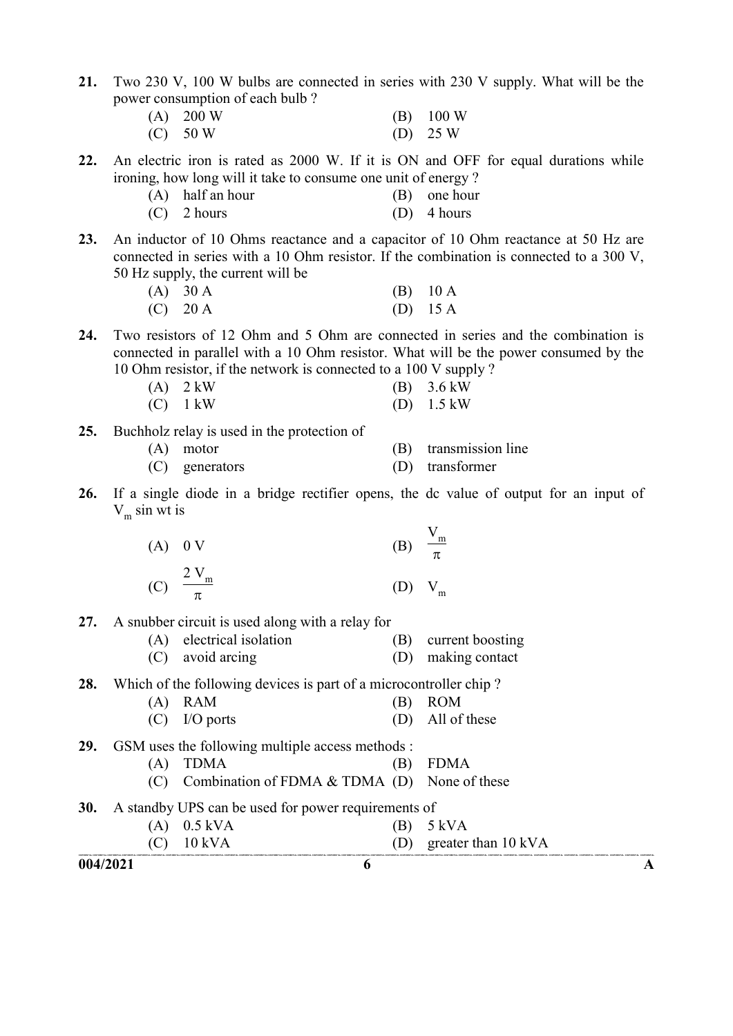| 21. Two 230 V, 100 W bulbs are connected in series with 230 V supply. What will be the |
|----------------------------------------------------------------------------------------|
| power consumption of each bulb?                                                        |

| $(A)$ 200 W | $(B)$ 100 W |
|-------------|-------------|
| (C) 50 W    | (D) $25 W$  |

22. An electric iron is rated as 2000 W. If it is ON and OFF for equal durations while ironing, how long will it take to consume one unit of energy ?

| $(A)$ half an hour | $(B)$ one hour |
|--------------------|----------------|
|                    |                |

- (C) 2 hours (D) 4 hours
- 23. An inductor of 10 Ohms reactance and a capacitor of 10 Ohm reactance at 50 Hz are connected in series with a 10 Ohm resistor. If the combination is connected to a 300 V, 50 Hz supply, the current will be

| (A) 30 A   | $(B)$ 10 A         |
|------------|--------------------|
| $(C)$ 20 A | (D) $15 \text{ A}$ |

24. Two resistors of 12 Ohm and 5 Ohm are connected in series and the combination is connected in parallel with a 10 Ohm resistor. What will be the power consumed by the 10 Ohm resistor, if the network is connected to a 100 V supply ?

| $(A)$ 2 kW | (B) $3.6 \text{ kW}$ |
|------------|----------------------|
| $(C)$ 1 kW | (D) $1.5 \text{ kW}$ |

25. Buchholz relay is used in the protection of

| $(A)$ motor | (B) transmission line |
|-------------|-----------------------|
|             |                       |

- (C) generators (D) transformer
- 26. If a single diode in a bridge rectifier opens, the dc value of output for an input of  $V_m$  sin wt is

|     | $(A)$ 0 V        | (B)       | $\frac{v_{\text{m}}}{\pi}$ |
|-----|------------------|-----------|----------------------------|
| (C) | $2 V_{\text{m}}$ | $(D) V_m$ |                            |

27. A snubber circuit is used along with a relay for

| (A) electrical isolation | (B) current boosting |
|--------------------------|----------------------|
| (C) avoid arcing         | (D) making contact   |

28. Which of the following devices is part of a microcontroller chip ?

|     | [A] | RAM                                                 |     | <b>ROM</b>   |
|-----|-----|-----------------------------------------------------|-----|--------------|
|     | (C) | $I/O ports$                                         |     | All of these |
| 29. |     | GSM uses the following multiple access methods :    |     |              |
|     | (A) | <b>TDMA</b>                                         | (B) | <b>FDMA</b>  |
|     | (C) | Combination of FDMA & TDMA (D) None of these        |     |              |
| 30. |     | A standby UPS can be used for power requirements of |     |              |
|     | (A) | $0.5$ kVA                                           |     | 5 kVA        |

### (C) 10 kVA (D) greater than 10 kVA

 $004/2021$  6 A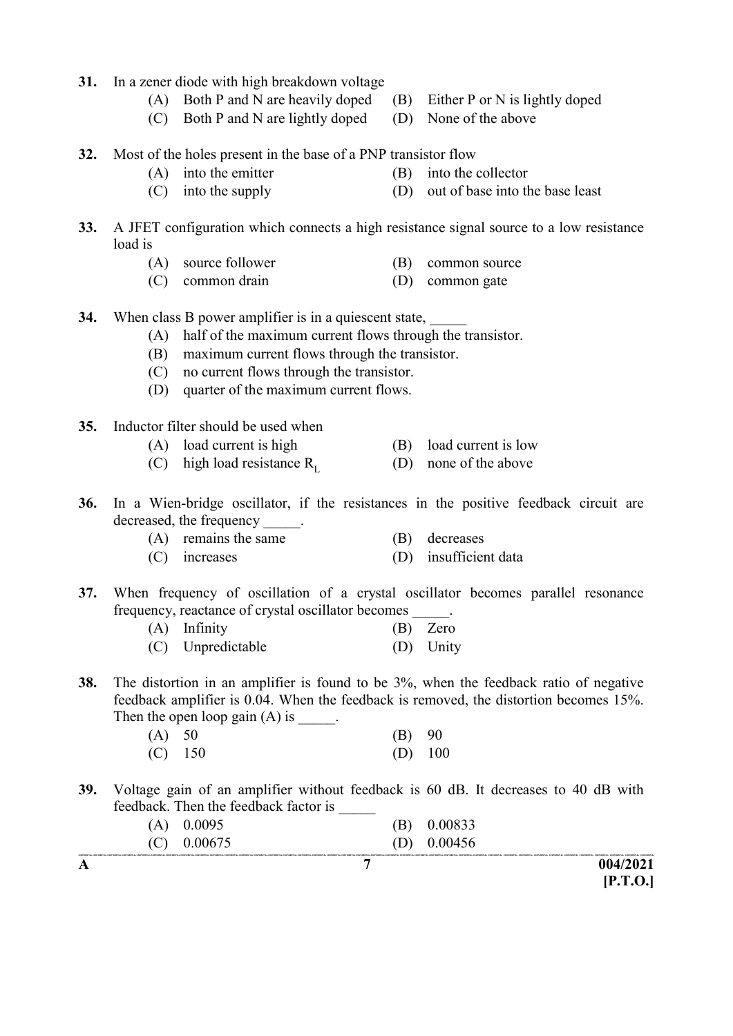- 31. In a zener diode with high breakdown voltage
	-
	- (C) Both P and N are lightly doped (D) None of the above
	- (A) Both P and N are heavily doped (B) Either P or N is lightly doped
		-
- 32. Most of the holes present in the base of a PNP transistor flow
	- (A) into the emitter (B) into the collector
	- (C) into the supply (D) out of base into the base least
- 33. A JFET configuration which connects a high resistance signal source to a low resistance load is
	- (A) source follower (B) common source
	- (C) common drain (D) common gate
- 34. When class B power amplifier is in a quiescent state,
	- (A) half of the maximum current flows through the transistor.
	- (B) maximum current flows through the transistor.
	- (C) no current flows through the transistor.
	- (D) quarter of the maximum current flows.
- 35. Inductor filter should be used when
	- - (A) load current is high (B) load current is low
	- (C) high load resistance  $R_{\text{L}}$ (D) none of the above
- 36. In a Wien-bridge oscillator, if the resistances in the positive feedback circuit are decreased, the frequency \_\_\_\_\_.
	- (A) remains the same (B) decreases
	- (C) increases (D) insufficient data
- 37. When frequency of oscillation of a crystal oscillator becomes parallel resonance frequency, reactance of crystal oscillator becomes \_\_\_\_\_.

| $(A)$ Infinity    | (B) Zero  |
|-------------------|-----------|
| (C) Unpredictable | (D) Unity |

38. The distortion in an amplifier is found to be 3%, when the feedback ratio of negative feedback amplifier is 0.04. When the feedback is removed, the distortion becomes 15%. Then the open loop gain  $(A)$  is  $\_\_\_\_\$ .

| (A) 50    | (B) 90    |  |
|-----------|-----------|--|
| $(C)$ 150 | (D) $100$ |  |

39. Voltage gain of an amplifier without feedback is 60 dB. It decreases to 40 dB with feedback. Then the feedback factor is \_\_\_\_\_

| A |     |                                                                                                                 |     | 004/2021                                                                                                                                                                                                                                        |  |
|---|-----|-----------------------------------------------------------------------------------------------------------------|-----|-------------------------------------------------------------------------------------------------------------------------------------------------------------------------------------------------------------------------------------------------|--|
|   | (C) | 0.00675<br>ASSESSMENT COMPARTING CARD MATHI CORPORATION COMPARTING CARD MATHI CARD MATHIE COMPARTING COMPARTING |     | $(D)$ 0.00456<br>COMPORTINAL CORPIDENTINAL COMPORTINAL COMPORTINAL CORPIDENTINAL COMPORTINAL COMPORTINAL COMPORTINAL COMPORTINAL COMPORTINAL COMPORTINAL CORPIDENTINAL CORPIDENTINAL CORPIDENTINAL CORPIDENTINAL CORPIDENTINAL CORPIDENTINAL CO |  |
|   | (A) | 0.0095                                                                                                          | (B) | 0.00833                                                                                                                                                                                                                                         |  |

 $[P.T.O.]$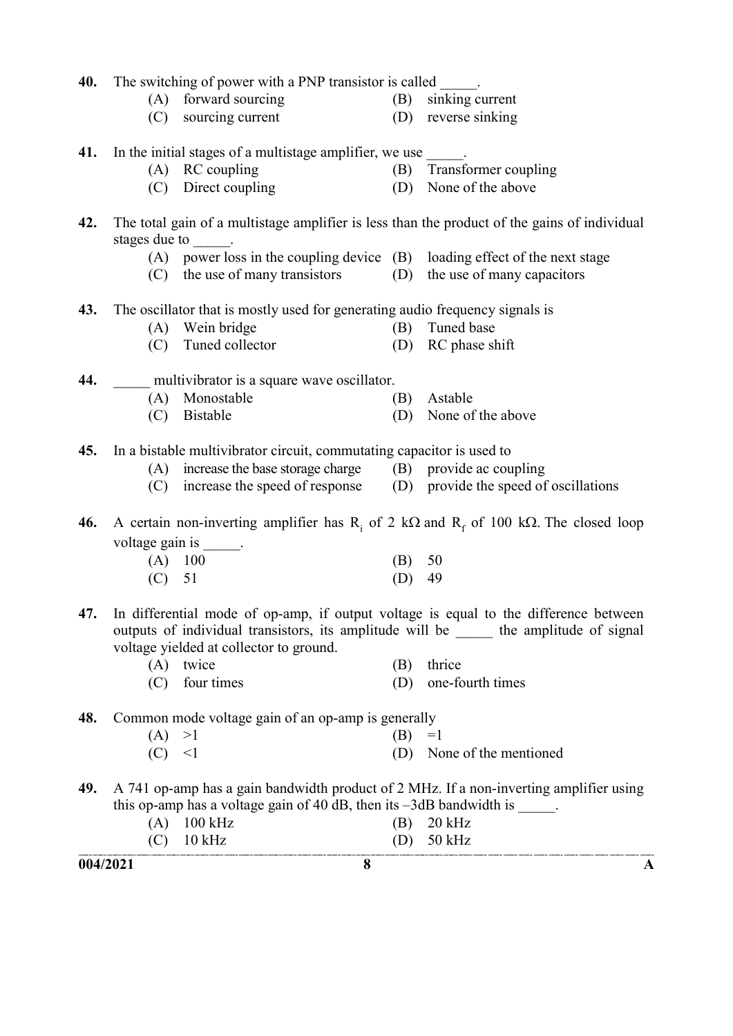|     | 004/2021        | 8                                                                                        |            | A                                                                                                                           |
|-----|-----------------|------------------------------------------------------------------------------------------|------------|-----------------------------------------------------------------------------------------------------------------------------|
|     |                 | $(C)$ 10 kHz                                                                             | (D)        | 50 kHz                                                                                                                      |
|     |                 | $(A)$ 100 kHz                                                                            | (B)        | $20$ kHz                                                                                                                    |
| 49. |                 | this op-amp has a voltage gain of 40 dB, then its $-3$ dB bandwidth is $\qquad \qquad$ . |            | A 741 op-amp has a gain bandwidth product of 2 MHz. If a non-inverting amplifier using                                      |
|     | $(C)$ <1        |                                                                                          |            | (D) None of the mentioned                                                                                                   |
|     | (A)             | >1                                                                                       | (B)        | $=1$                                                                                                                        |
| 48. |                 | Common mode voltage gain of an op-amp is generally                                       |            |                                                                                                                             |
|     |                 |                                                                                          |            |                                                                                                                             |
|     | (C)             | $(A)$ twice<br>four times                                                                | (B)<br>(D) | one-fourth times                                                                                                            |
|     |                 | voltage yielded at collector to ground.                                                  |            | thrice                                                                                                                      |
|     |                 |                                                                                          |            | outputs of individual transistors, its amplitude will be ______ the amplitude of signal                                     |
| 47. |                 |                                                                                          |            | In differential mode of op-amp, if output voltage is equal to the difference between                                        |
|     |                 |                                                                                          |            |                                                                                                                             |
|     | (C)             | 51                                                                                       | (D)        | 49                                                                                                                          |
|     |                 | $(A)$ 100                                                                                | (B)        | 50                                                                                                                          |
|     | voltage gain is | <b>Contractor</b>                                                                        |            |                                                                                                                             |
| 46. |                 |                                                                                          |            | A certain non-inverting amplifier has R <sub>i</sub> of 2 k $\Omega$ and R <sub>f</sub> of 100 k $\Omega$ . The closed loop |
|     | (C)             | increase the speed of response (D) provide the speed of oscillations                     |            |                                                                                                                             |
|     |                 | (A) increase the base storage charge (B) provide ac coupling                             |            |                                                                                                                             |
| 45. |                 | In a bistable multivibrator circuit, commutating capacitor is used to                    |            |                                                                                                                             |
|     |                 |                                                                                          |            |                                                                                                                             |
|     |                 | (C) Bistable                                                                             | (D)        | None of the above                                                                                                           |
| 44. | (A)             | multivibrator is a square wave oscillator.<br>Monostable                                 | (B)        | Astable                                                                                                                     |
|     |                 |                                                                                          |            |                                                                                                                             |
|     | (C)             | Tuned collector                                                                          | (D)        | RC phase shift                                                                                                              |
|     |                 | (A) Wein bridge                                                                          | (B)        | Tuned base                                                                                                                  |
| 43. |                 | The oscillator that is mostly used for generating audio frequency signals is             |            |                                                                                                                             |
|     |                 |                                                                                          |            |                                                                                                                             |
|     |                 | (C) the use of many transistors                                                          |            | (D) the use of many capacitors                                                                                              |
|     | stages due to . | (A) power loss in the coupling device (B) loading effect of the next stage               |            |                                                                                                                             |
| 42. |                 |                                                                                          |            | The total gain of a multistage amplifier is less than the product of the gains of individual                                |
|     |                 | (C) Direct coupling                                                                      | (D)        | None of the above                                                                                                           |
|     |                 | (A) RC coupling                                                                          | (B)        | Transformer coupling                                                                                                        |
| 41. |                 | In the initial stages of a multistage amplifier, we use                                  |            |                                                                                                                             |
|     |                 |                                                                                          |            |                                                                                                                             |
|     | (C)             | (A) forward sourcing<br>sourcing current                                                 | (B)<br>(D) | sinking current<br>reverse sinking                                                                                          |
| 40. |                 | The switching of power with a PNP transistor is called .                                 |            |                                                                                                                             |
|     |                 |                                                                                          |            |                                                                                                                             |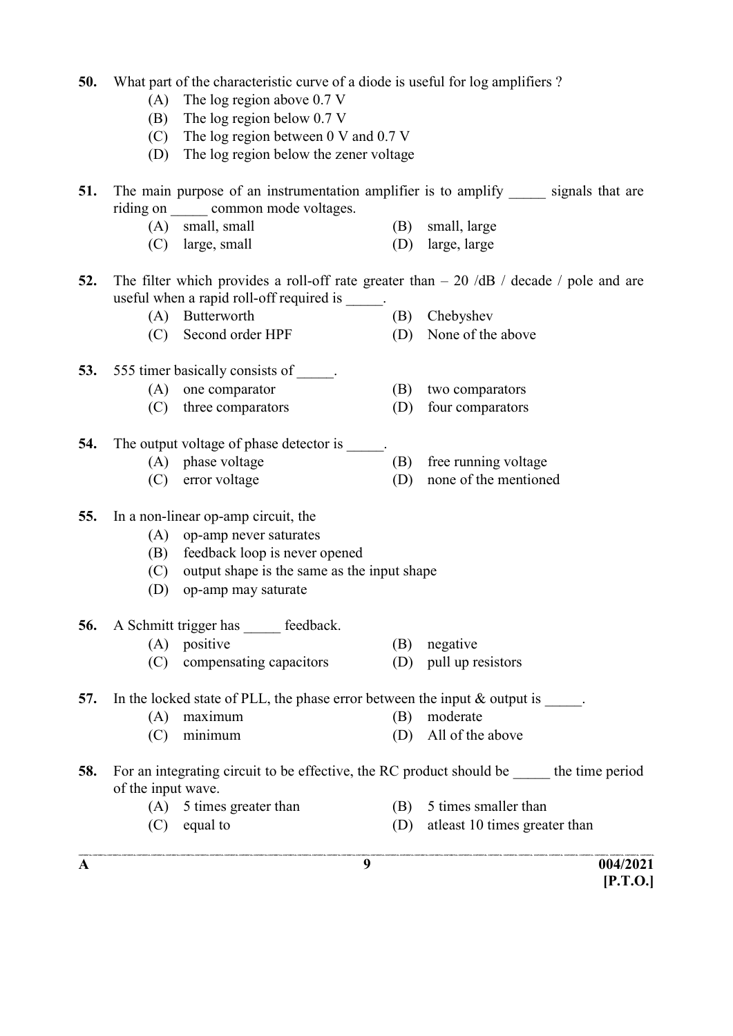|  |  | 50. What part of the characteristic curve of a diode is useful for log amplifiers? |  |  |  |
|--|--|------------------------------------------------------------------------------------|--|--|--|
|--|--|------------------------------------------------------------------------------------|--|--|--|

51. The main purpose of an instrumentation amplifier is to amplify signals that are

- (A) The log region above 0.7 V
- (B) The log region below 0.7 V
- (C) The log region between 0 V and 0.7 V
- (D) The log region below the zener voltage

 $A$  004/2021  $[P.T.O.]$ riding on common mode voltages. (A) small, small (B) small, large (C) large, small (D) large, large 52. The filter which provides a roll-off rate greater than  $-$  20 /dB / decade / pole and are useful when a rapid roll-off required is \_\_\_\_\_. (A) Butterworth (B) Chebyshev (C) Second order HPF (D) None of the above 53. 555 timer basically consists of  $\qquad$ . (A) one comparator (B) two comparators (C) three comparators (D) four comparators 54. The output voltage of phase detector is \_\_\_\_\_. (A) phase voltage (B) free running voltage (C) error voltage (D) none of the mentioned 55. In a non-linear op-amp circuit, the (A) op-amp never saturates (B) feedback loop is never opened (C) output shape is the same as the input shape (D) op-amp may saturate 56. A Schmitt trigger has feedback. (A) positive (B) negative (C) compensating capacitors (D) pull up resistors 57. In the locked state of PLL, the phase error between the input  $\&$  output is  $\qquad \qquad$ . (A) maximum (B) moderate (C) minimum (D) All of the above 58. For an integrating circuit to be effective, the RC product should be the time period of the input wave. (A) 5 times greater than (B) 5 times smaller than (C) equal to (D) atleast 10 times greater than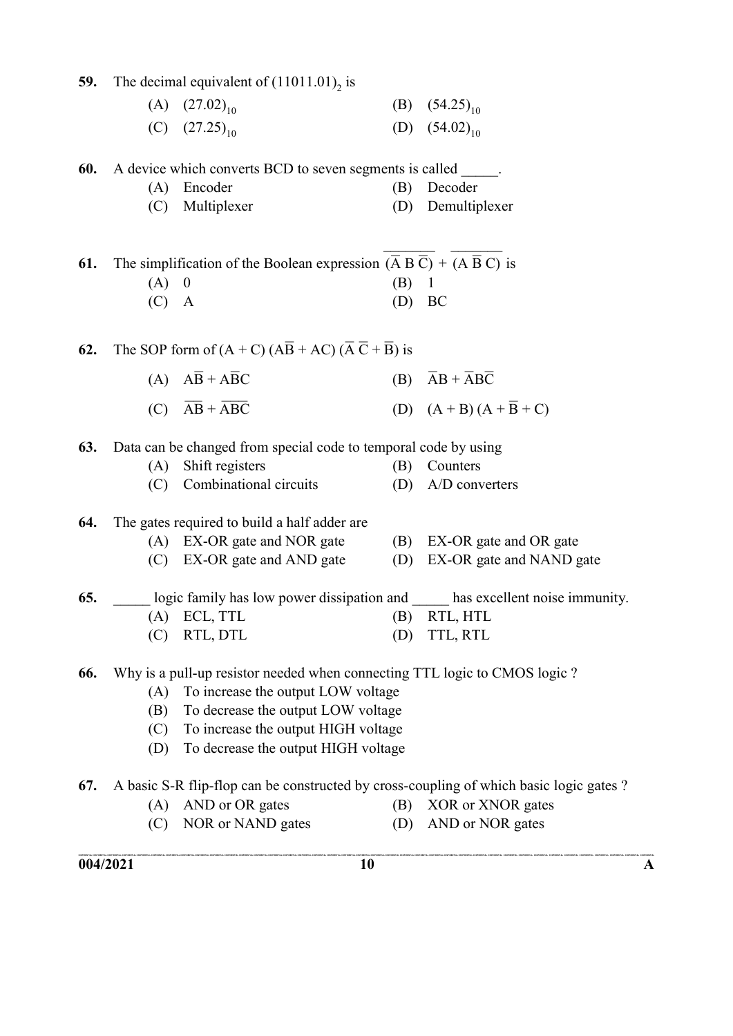|     | 004/2021 | <b>10</b>                                                                                          |     |                                                                                        | A |
|-----|----------|----------------------------------------------------------------------------------------------------|-----|----------------------------------------------------------------------------------------|---|
|     | (C)      | NOR or NAND gates                                                                                  | (D) | AND or NOR gates                                                                       |   |
|     |          | (A) AND or OR gates                                                                                | (B) | XOR or XNOR gates                                                                      |   |
| 67. |          |                                                                                                    |     | A basic S-R flip-flop can be constructed by cross-coupling of which basic logic gates? |   |
|     | (D)      | To decrease the output HIGH voltage                                                                |     |                                                                                        |   |
|     | (C)      | To increase the output HIGH voltage                                                                |     |                                                                                        |   |
|     | (B)      | To decrease the output LOW voltage                                                                 |     |                                                                                        |   |
|     | (A)      | To increase the output LOW voltage                                                                 |     |                                                                                        |   |
| 66. |          | Why is a pull-up resistor needed when connecting TTL logic to CMOS logic?                          |     |                                                                                        |   |
|     |          |                                                                                                    |     |                                                                                        |   |
|     | (C)      | RTL, DTL                                                                                           | (D) | TTL, RTL                                                                               |   |
|     |          | (A) ECL, TTL                                                                                       | (B) | RTL, HTL                                                                               |   |
| 65. |          |                                                                                                    |     | logic family has low power dissipation and has excellent noise immunity.               |   |
|     |          | (C) EX-OR gate and AND gate                                                                        | (D) | EX-OR gate and NAND gate                                                               |   |
|     |          | (A) EX-OR gate and NOR gate                                                                        | (B) | EX-OR gate and OR gate                                                                 |   |
| 64. |          | The gates required to build a half adder are                                                       |     |                                                                                        |   |
|     |          |                                                                                                    |     |                                                                                        |   |
|     | (C)      | Combinational circuits                                                                             | (D) | A/D converters                                                                         |   |
|     | (A)      | Shift registers                                                                                    | (B) | Counters                                                                               |   |
| 63. |          | Data can be changed from special code to temporal code by using                                    |     |                                                                                        |   |
|     |          | (C) $\overline{AB} + \overline{ABC}$                                                               |     | (D) $(A + B) (A + \overline{B} + C)$                                                   |   |
|     |          | (A) $A\overline{B} + A\overline{B}C$                                                               |     | (B) $\overline{AB} + \overline{AB}\overline{C}$                                        |   |
|     |          |                                                                                                    |     |                                                                                        |   |
| 62. |          | The SOP form of $(A + C)$ $(\overline{AB} + AC)$ $(\overline{A} \ \overline{C} + \overline{B})$ is |     |                                                                                        |   |
|     | $(C)$ A  |                                                                                                    | (D) | BC                                                                                     |   |
|     | (A)      | $\boldsymbol{0}$                                                                                   | (B) | $\mathbf{1}$                                                                           |   |
| 61. |          | The simplification of the Boolean expression $(AB C) + (A B C)$ is                                 |     |                                                                                        |   |
|     |          |                                                                                                    |     |                                                                                        |   |
|     | (C)      | Multiplexer                                                                                        | (D) | Demultiplexer                                                                          |   |
|     | (A)      | Encoder                                                                                            | (B) | Decoder                                                                                |   |
| 60. |          | A device which converts BCD to seven segments is called ______.                                    |     |                                                                                        |   |
|     |          |                                                                                                    |     |                                                                                        |   |
|     |          | (C) $(27.25)_{10}$                                                                                 | (D) | $(54.02)_{10}$                                                                         |   |
|     |          | (A) $(27.02)_{10}$                                                                                 |     | (B) $(54.25)_{10}$                                                                     |   |
| 59. |          | The decimal equivalent of $(11011.01)$ , is                                                        |     |                                                                                        |   |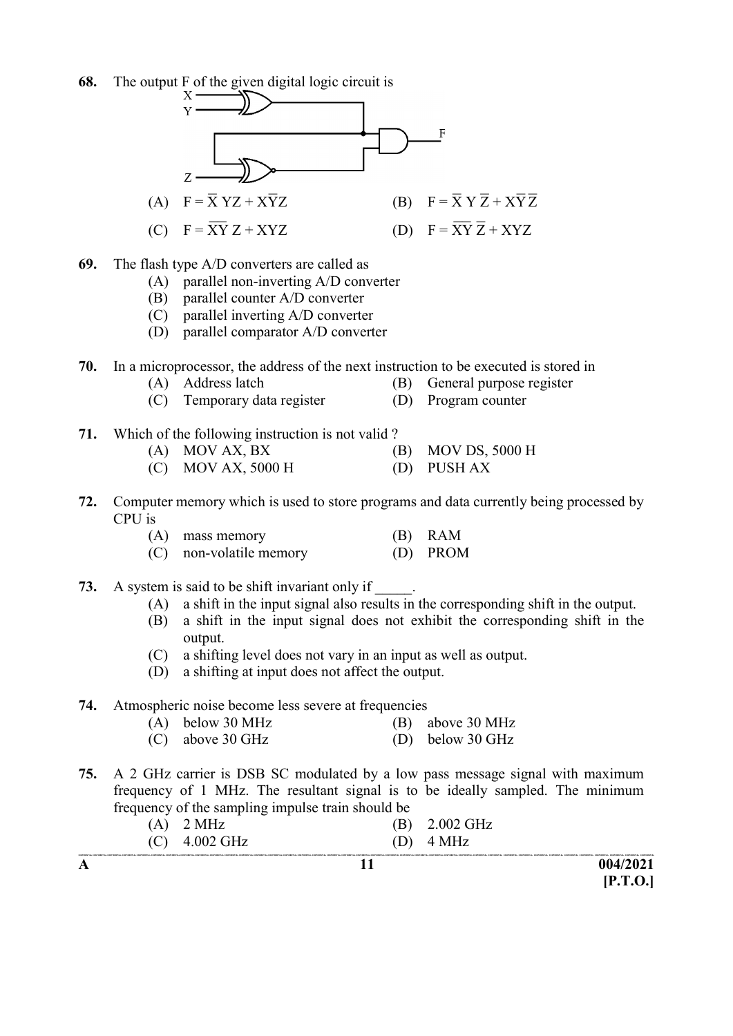68. The output F of the given digital logic circuit is



 $[P.T.O.]$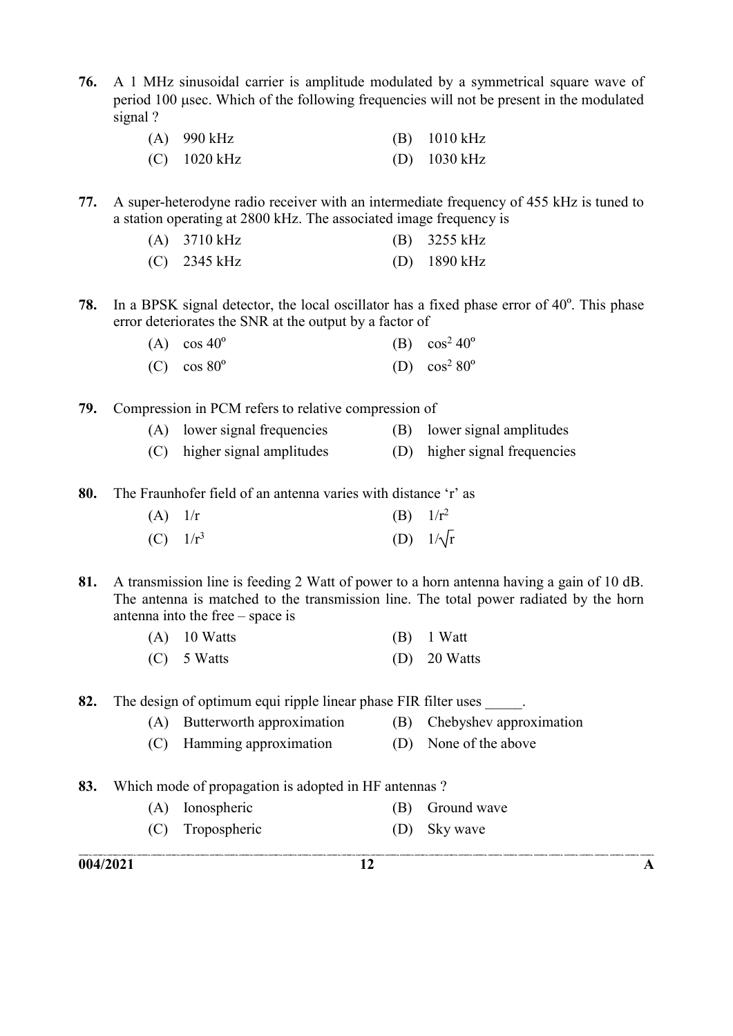76. A 1 MHz sinusoidal carrier is amplitude modulated by a symmetrical square wave of period 100 usec. Which of the following frequencies will not be present in the modulated signal ?

| $(A)$ 990 kHz  | $(B)$ 1010 kHz         |
|----------------|------------------------|
| $(C)$ 1020 kHz | (D) $1030 \text{ kHz}$ |

77. A super-heterodyne radio receiver with an intermediate frequency of 455 kHz is tuned to a station operating at 2800 kHz. The associated image frequency is

| $(A)$ 3710 kHz | (B) $3255 \text{ kHz}$ |
|----------------|------------------------|
| $(C)$ 2345 kHz | (D) $1890 \text{ kHz}$ |

78. In a BPSK signal detector, the local oscillator has a fixed phase error of 40º. This phase error deteriorates the SNR at the output by a factor of

| (A) $\cos 40^\circ$  | (B) $\cos^2 40^\circ$ |
|----------------------|-----------------------|
| $(C)$ cos $80^\circ$ | (D) $\cos^2 80^\circ$ |

79. Compression in PCM refers to relative compression of

| (A) lower signal frequencies | (B) lower signal amplitudes   |
|------------------------------|-------------------------------|
| (C) higher signal amplitudes | (D) higher signal frequencies |

80. The Fraunhofer field of an antenna varies with distance 'r' as

| $(A)$ 1/r   | (B) $1/r^2$ |                  |
|-------------|-------------|------------------|
| (C) $1/r^3$ |             | (D) $1/\sqrt{r}$ |

81. A transmission line is feeding 2 Watt of power to a horn antenna having a gain of 10 dB. The antenna is matched to the transmission line. The total power radiated by the horn antenna into the free – space is

| $(A)$ 10 Watts | $(B)$ 1 Watt |
|----------------|--------------|
| $(C)$ 5 Watts  | (D) 20 Watts |

82. The design of optimum equi ripple linear phase FIR filter uses

- (A) Butterworth approximation (B) Chebyshev approximation (C) Hamming approximation (D) None of the above
- 
- 83. Which mode of propagation is adopted in HF antennas ?
	- (A) Ionospheric (B) Ground wave
	- (C) Tropospheric (D) Sky wave

 $004/2021$  and  $12$  and  $12$  and  $12$  and  $12$  and  $12$  and  $12$  and  $12$  and  $12$  and  $12$  and  $12$  and  $12$  and  $12$  and  $12$  and  $12$  and  $12$  and  $12$  and  $12$  and  $12$  and  $12$  and  $12$  and  $12$  and  $12$  and  $12$  and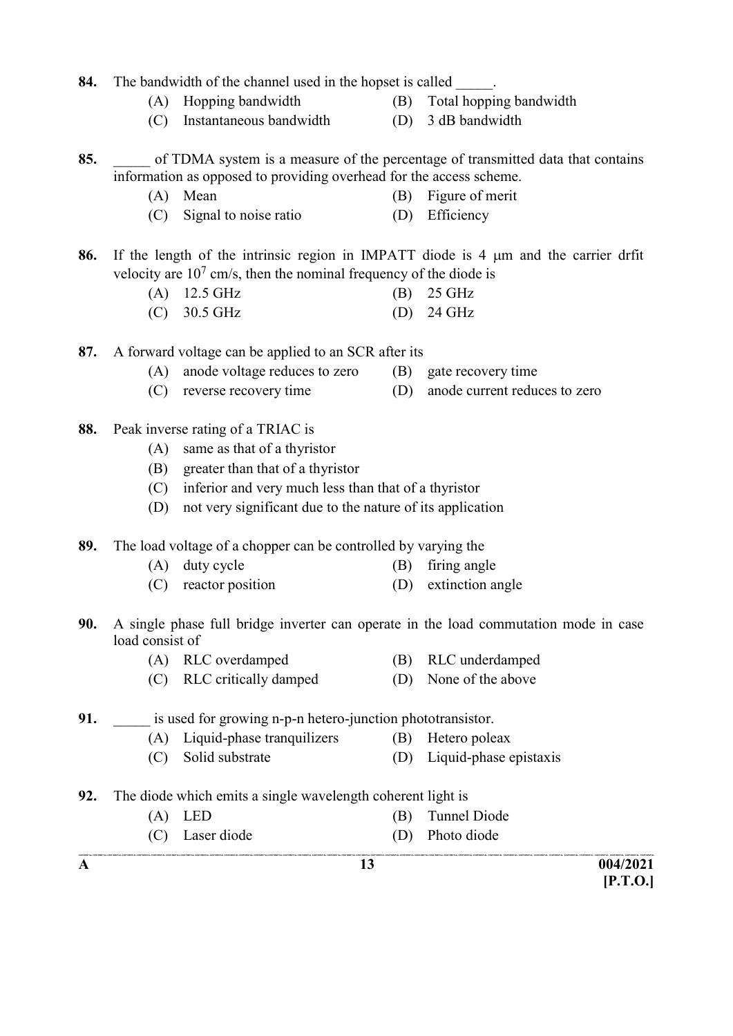- 84. The bandwidth of the channel used in the hopset is called
	- (A) Hopping bandwidth (B) Total hopping bandwidth
		-
	- (C) Instantaneous bandwidth (D) 3 dB bandwidth

85. of TDMA system is a measure of the percentage of transmitted data that contains information as opposed to providing overhead for the access scheme.

- (A) Mean (B) Figure of merit
	-
- (C) Signal to noise ratio (D) Efficiency
- 
- 86. If the length of the intrinsic region in IMPATT diode is 4 um and the carrier drfit velocity are  $10<sup>7</sup>$  cm/s, then the nominal frequency of the diode is
	- (A) 12.5 GHz (B) 25 GHz (C) 30.5 GHz (D) 24 GHz
- 87. A forward voltage can be applied to an SCR after its
	- (A) anode voltage reduces to zero (B) gate recovery time
	- (C) reverse recovery time (D) anode current reduces to zero
- 88. Peak inverse rating of a TRIAC is
	- (A) same as that of a thyristor
	- (B) greater than that of a thyristor
	- (C) inferior and very much less than that of a thyristor
	- (D) not very significant due to the nature of its application

89. The load voltage of a chopper can be controlled by varying the

- (A) duty cycle (B) firing angle
- (C) reactor position (D) extinction angle
- 90. A single phase full bridge inverter can operate in the load commutation mode in case load consist of
	- (A) RLC overdamped (B) RLC underdamped
	- (C) RLC critically damped (D) None of the above

#### 91. is used for growing n-p-n hetero-junction phototransistor.

- (A) Liquid-phase tranquilizers (B) Hetero poleax
- (C) Solid substrate (D) Liquid-phase epistaxis
- 92. The diode which emits a single wavelength coherent light is
	- (A) LED (B) Tunnel Diode
		- (C) Laser diode (D) Photo diode
- 

 $A$  13 004/2021  $[P.T.O.]$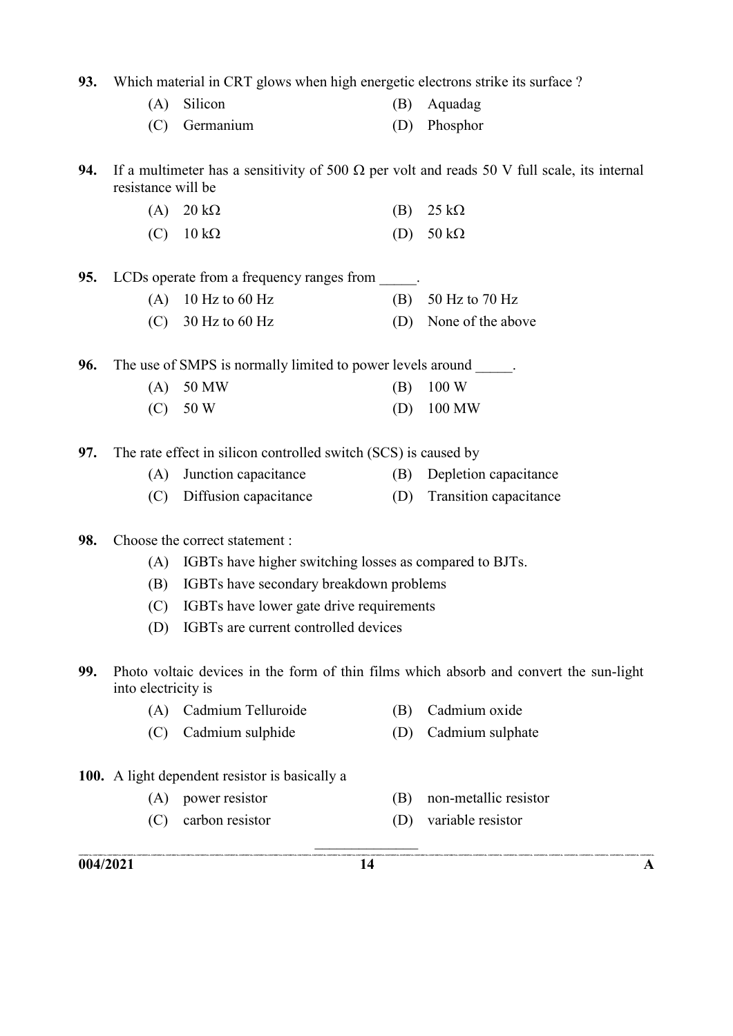93. Which material in CRT glows when high energetic electrons strike its surface ?

| $(A)$ Silicon | (B) Aquadag |
|---------------|-------------|
|               |             |

(C) Germanium (D) Phosphor

94. If a multimeter has a sensitivity of 500  $\Omega$  per volt and reads 50 V full scale, its internal resistance will be

| (A) $20 \text{ k}\Omega$ | (B) $25 k\Omega$         |
|--------------------------|--------------------------|
| $(C)$ 10 kΩ              | (D) $50 \text{ k}\Omega$ |

95. LCDs operate from a frequency ranges from  $\blacksquare$ .

| $(A)$ 10 Hz to 60 Hz |  | (B) $50$ Hz to $70$ Hz |
|----------------------|--|------------------------|
|----------------------|--|------------------------|

(C) 30 Hz to 60 Hz (D) None of the above

96. The use of SMPS is normally limited to power levels around  $\blacksquare$ .

| $(A)$ 50 MW | $(B)$ 100 W  |
|-------------|--------------|
| (C) 50 W    | $(D)$ 100 MW |

97. The rate effect in silicon controlled switch (SCS) is caused by

|  | (A) Junction capacitance |  | (B) Depletion capacitance |
|--|--------------------------|--|---------------------------|
|--|--------------------------|--|---------------------------|

(C) Diffusion capacitance (D) Transition capacitance

#### 98. Choose the correct statement :

- (A) IGBTs have higher switching losses as compared to BJTs.
- (B) IGBTs have secondary breakdown problems
- (C) IGBTs have lower gate drive requirements
- (D) IGBTs are current controlled devices
- 99. Photo voltaic devices in the form of thin films which absorb and convert the sun-light into electricity is
	- (A) Cadmium Telluroide (B) Cadmium oxide
		-
	- (C) Cadmium sulphide (D) Cadmium sulphate
- 100. A light dependent resistor is basically a
	- (A) power resistor (B) non-metallic resistor
	-
- 
- (C) carbon resistor (D) variable resistor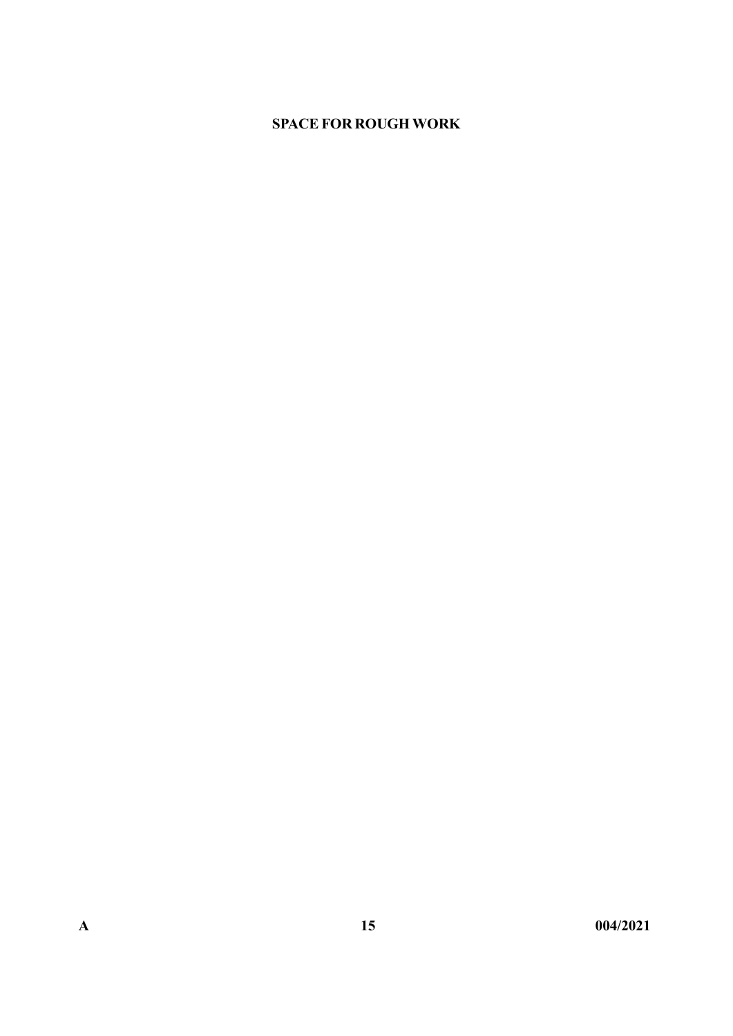## SPACE FOR ROUGH WORK